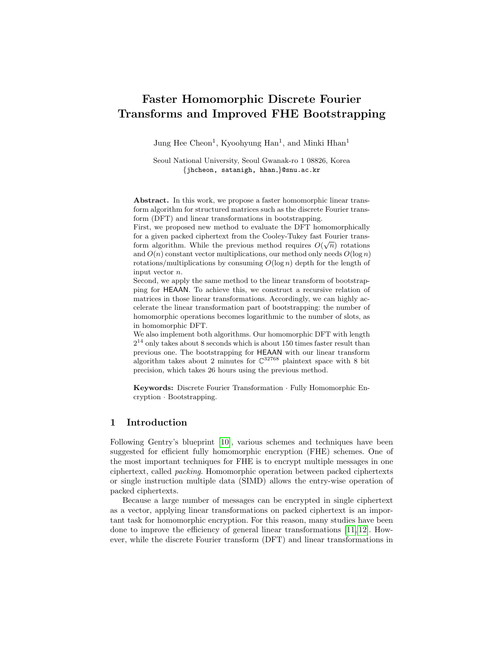# Faster Homomorphic Discrete Fourier Transforms and Improved FHE Bootstrapping

Jung Hee Cheon<sup>1</sup>, Kyoohyung Han<sup>1</sup>, and Minki Hhan<sup>1</sup>

Seoul National University, Seoul Gwanak-ro 1 08826, Korea {jhcheon, satanigh, hhan\_}@snu.ac.kr

Abstract. In this work, we propose a faster homomorphic linear transform algorithm for structured matrices such as the discrete Fourier transform (DFT) and linear transformations in bootstrapping.

First, we proposed new method to evaluate the DFT homomorphically for a given packed ciphertext from the Cooley-Tukey fast Fourier transform algorithm. While the previous method requires  $O(\sqrt{n})$  rotations and  $O(n)$  constant vector multiplications, our method only needs  $O(\log n)$ rotations/multiplications by consuming  $O(\log n)$  depth for the length of input vector n.

Second, we apply the same method to the linear transform of bootstrapping for HEAAN. To achieve this, we construct a recursive relation of matrices in those linear transformations. Accordingly, we can highly accelerate the linear transformation part of bootstrapping: the number of homomorphic operations becomes logarithmic to the number of slots, as in homomorphic DFT.

We also implement both algorithms. Our homomorphic DFT with length  $2^{14}$  only takes about 8 seconds which is about 150 times faster result than previous one. The bootstrapping for HEAAN with our linear transform algorithm takes about 2 minutes for  $\mathbb{C}^{32768}$  plaintext space with 8 bit precision, which takes 26 hours using the previous method.

Keywords: Discrete Fourier Transformation · Fully Homomorphic Encryption · Bootstrapping.

## 1 Introduction

Following Gentry's blueprint [\[10\]](#page-17-0), various schemes and techniques have been suggested for efficient fully homomorphic encryption (FHE) schemes. One of the most important techniques for FHE is to encrypt multiple messages in one ciphertext, called packing. Homomorphic operation between packed ciphertexts or single instruction multiple data (SIMD) allows the entry-wise operation of packed ciphertexts.

Because a large number of messages can be encrypted in single ciphertext as a vector, applying linear transformations on packed ciphertext is an important task for homomorphic encryption. For this reason, many studies have been done to improve the efficiency of general linear transformations [\[11,](#page-17-1) [12\]](#page-17-2). However, while the discrete Fourier transform (DFT) and linear transformations in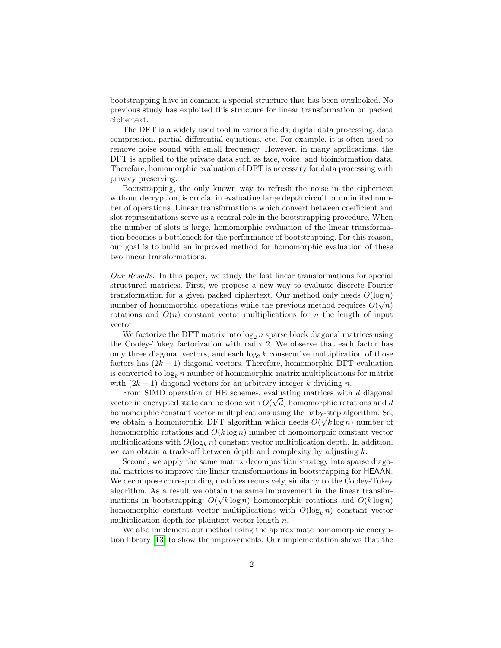bootstrapping have in common a special structure that has been overlooked. No previous study has exploited this structure for linear transformation on packed ciphertext.

The DFT is a widely used tool in various fields; digital data processing, data compression, partial differential equations, etc. For example, it is often used to remove noise sound with small frequency. However, in many applications, the DFT is applied to the private data such as face, voice, and bioinformation data. Therefore, homomorphic evaluation of DFT is necessary for data processing with privacy preserving.

Bootstrapping, the only known way to refresh the noise in the ciphertext without decryption, is crucial in evaluating large depth circuit or unlimited number of operations. Linear transformations which convert between coefficient and slot representations serve as a central role in the bootstrapping procedure. When the number of slots is large, homomorphic evaluation of the linear transformation becomes a bottleneck for the performance of bootstrapping. For this reason, our goal is to build an improved method for homomorphic evaluation of these two linear transformations.

Our Results. In this paper, we study the fast linear transformations for special structured matrices. First, we propose a new way to evaluate discrete Fourier transformation for a given packed ciphertext. Our method only needs  $O(\log n)$ number of homomorphic operations while the previous method requires  $O(\sqrt{n})$ rotations and  $O(n)$  constant vector multiplications for n the length of input vector.

We factorize the DFT matrix into  $\log_2 n$  sparse block diagonal matrices using the Cooley-Tukey factorization with radix 2. We observe that each factor has only three diagonal vectors, and each  $\log_2 k$  consecutive multiplication of those factors has  $(2k - 1)$  diagonal vectors. Therefore, homomorphic DFT evaluation is converted to  $\log_k n$  number of homomorphic matrix multiplications for matrix with  $(2k-1)$  diagonal vectors for an arbitrary integer k dividing n.

From SIMD operation of HE schemes, evaluating matrices with  $d$  diagonal vector in encrypted state can be done with  $O(\sqrt{d})$  homomorphic rotations and d homomorphic constant vector multiplications using the baby-step algorithm. So, we obtain a homomorphic DFT algorithm which needs  $O(\sqrt{k} \log n)$  number of homomorphic rotations and  $O(k \log n)$  number of homomorphic constant vector multiplications with  $O(\log_k n)$  constant vector multiplication depth. In addition, we can obtain a trade-off between depth and complexity by adjusting  $k$ .

Second, we apply the same matrix decomposition strategy into sparse diagonal matrices to improve the linear transformations in bootstrapping for HEAAN. We decompose corresponding matrices recursively, similarly to the Cooley-Tukey algorithm. As a result we obtain the same improvement in the linear transformations in bootstrapping:  $O(\sqrt{k} \log n)$  homomorphic rotations and  $O(k \log n)$ homomorphic constant vector multiplications with  $O(\log_k n)$  constant vector multiplication depth for plaintext vector length  $n$ .

We also implement our method using the approximate homomorphic encryption library [\[13\]](#page-17-3) to show the improvements. Our implementation shows that the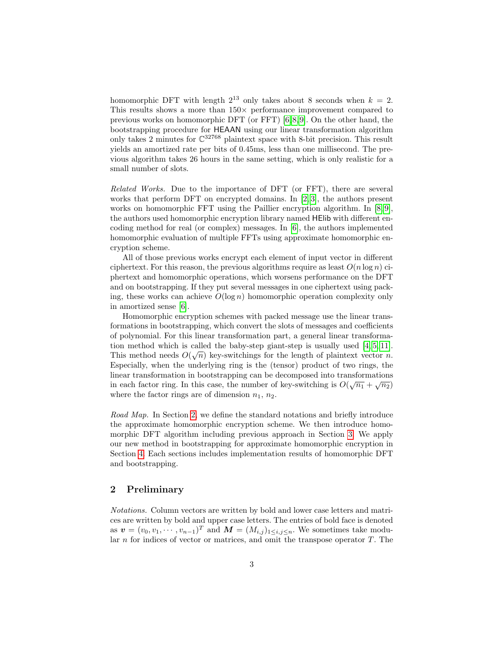homomorphic DFT with length  $2^{13}$  only takes about 8 seconds when  $k = 2$ . This results shows a more than  $150\times$  performance improvement compared to previous works on homomorphic DFT (or FFT) [\[6,](#page-17-4) [8,](#page-17-5) [9\]](#page-17-6). On the other hand, the bootstrapping procedure for HEAAN using our linear transformation algorithm only takes 2 minutes for  $\mathbb{C}^{32768}$  plaintext space with 8-bit precision. This result yields an amortized rate per bits of 0.45ms, less than one millisecond. The previous algorithm takes 26 hours in the same setting, which is only realistic for a small number of slots.

Related Works. Due to the importance of DFT (or FFT), there are several works that perform DFT on encrypted domains. In  $[2, 3]$  $[2, 3]$ , the authors present works on homomorphic FFT using the Paillier encryption algorithm. In  $[8, 9]$  $[8, 9]$ , the authors used homomorphic encryption library named HElib with different encoding method for real (or complex) messages. In [\[6\]](#page-17-4), the authors implemented homomorphic evaluation of multiple FFTs using approximate homomorphic encryption scheme.

All of those previous works encrypt each element of input vector in different ciphertext. For this reason, the previous algorithms require as least  $O(n \log n)$  ciphertext and homomorphic operations, which worsens performance on the DFT and on bootstrapping. If they put several messages in one ciphertext using packing, these works can achieve  $O(\log n)$  homomorphic operation complexity only in amortized sense [\[6\]](#page-17-4).

Homomorphic encryption schemes with packed message use the linear transformations in bootstrapping, which convert the slots of messages and coefficients of polynomial. For this linear transformation part, a general linear transformation method which is called the baby-step giant-step is usually used  $[4, 5, 11]$  $[4, 5, 11]$  $[4, 5, 11]$ . This method needs  $O(\sqrt{n})$  key-switchings for the length of plaintext vector n. Especially, when the underlying ring is the (tensor) product of two rings, the linear transformation in bootstrapping can be decomposed into transformations in each factor ring. In this case, the number of key-switching is  $O(\sqrt{n_1} + \sqrt{n_2})$ where the factor rings are of dimension  $n_1$ ,  $n_2$ .

Road Map. In Section [2,](#page-2-0) we define the standard notations and briefly introduce the approximate homomorphic encryption scheme. We then introduce homomorphic DFT algorithm including previous approach in Section [3.](#page-5-0) We apply our new method in bootstrapping for approximate homomorphic encryption in Section [4.](#page-13-0) Each sections includes implementation results of homomorphic DFT and bootstrapping.

## <span id="page-2-0"></span>2 Preliminary

Notations. Column vectors are written by bold and lower case letters and matrices are written by bold and upper case letters. The entries of bold face is denoted as  $\mathbf{v} = (v_0, v_1, \dots, v_{n-1})^T$  and  $\mathbf{M} = (M_{i,j})_{1 \leq i,j \leq n}$ . We sometimes take modular *n* for indices of vector or matrices, and omit the transpose operator  $T$ . The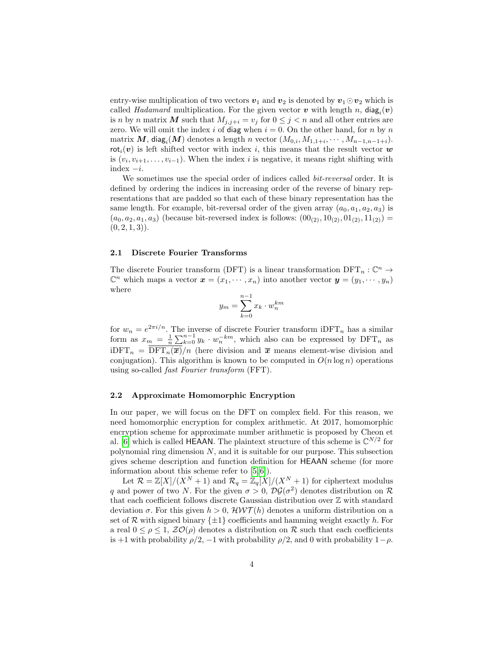entry-wise multiplication of two vectors  $v_1$  and  $v_2$  is denoted by  $v_1 \odot v_2$  which is called *Hadamard* multiplication. For the given vector  $v$  with length n,  $\text{diag}_i(v)$ is n by n matrix M such that  $M_{j,j+i} = v_j$  for  $0 \leq j < n$  and all other entries are zero. We will omit the index i of diag when  $i = 0$ . On the other hand, for n by n matrix  $\bm{M}$ , diag<sub>i</sub>( $\bm{M}$ ) denotes a length n vector ( $M_{0,i}, M_{1,1+i}, \cdots, M_{n-1,n-1+i}$ ). rot<sub>i</sub> $(v)$  is left shifted vector with index i, this means that the result vector w is  $(v_i, v_{i+1}, \ldots, v_{i-1})$ . When the index i is negative, it means right shifting with index  $-i$ .

We sometimes use the special order of indices called *bit-reversal* order. It is defined by ordering the indices in increasing order of the reverse of binary representations that are padded so that each of these binary representation has the same length. For example, bit-reversal order of the given array  $(a_0, a_1, a_2, a_3)$  is  $(a_0, a_2, a_1, a_3)$  (because bit-reversed index is follows:  $(00_{(2)}, 10_{(2)}, 01_{(2)}, 11_{(2)})$  =  $(0, 2, 1, 3)$ .

#### 2.1 Discrete Fourier Transforms

The discrete Fourier transform (DFT) is a linear transformation  $\text{DFT}_n : \mathbb{C}^n \to$  $\mathbb{C}^n$  which maps a vector  $\boldsymbol{x} = (x_1, \dots, x_n)$  into another vector  $\boldsymbol{y} = (y_1, \dots, y_n)$ where

$$
y_m = \sum_{k=0}^{n-1} x_k \cdot w_n^{km}
$$

for  $w_n = e^{2\pi i/n}$ . The inverse of discrete Fourier transform iDFT<sub>n</sub> has a similar form as  $x_m = \frac{1}{n} \sum_{k=0}^{n-1} y_k \cdot w_n^{-km}$ , which also can be expressed by DFT<sub>n</sub> as  $iDFT_n = DFT_n(\overline{x})/n$  (here division and  $\overline{x}$  means element-wise division and conjugation). This algorithm is known to be computed in  $O(n \log n)$  operations using so-called fast Fourier transform (FFT).

#### <span id="page-3-0"></span>2.2 Approximate Homomorphic Encryption

In our paper, we will focus on the DFT on complex field. For this reason, we need homomorphic encryption for complex arithmetic. At 2017, homomorphic encryption scheme for approximate number arithmetic is proposed by Cheon et al. [\[6\]](#page-17-4) which is called HEAAN. The plaintext structure of this scheme is  $\mathbb{C}^{N/2}$  for polynomial ring dimension  $N$ , and it is suitable for our purpose. This subsection gives scheme description and function definition for HEAAN scheme (for more information about this scheme refer to [\[5,](#page-17-8) [6\]](#page-17-4)).

Let  $\mathcal{R} = \mathbb{Z}[X]/(X^N + 1)$  and  $\mathcal{R}_q = \mathbb{Z}_q[X]/(X^N + 1)$  for ciphertext modulus q and power of two N. For the given  $\sigma > 0$ ,  $\mathcal{D}\mathcal{G}(\sigma^2)$  denotes distribution on R that each coefficient follows discrete Gaussian distribution over Z with standard deviation  $\sigma$ . For this given  $h > 0$ ,  $\mathcal{HWT}(h)$  denotes a uniform distribution on a set of R with signed binary  $\{\pm 1\}$  coefficients and hamming weight exactly h. For a real  $0 \leq \rho \leq 1$ ,  $\mathcal{ZO}(\rho)$  denotes a distribution on R such that each coefficients is +1 with probability  $\rho/2$ , -1 with probability  $\rho/2$ , and 0 with probability  $1-\rho$ .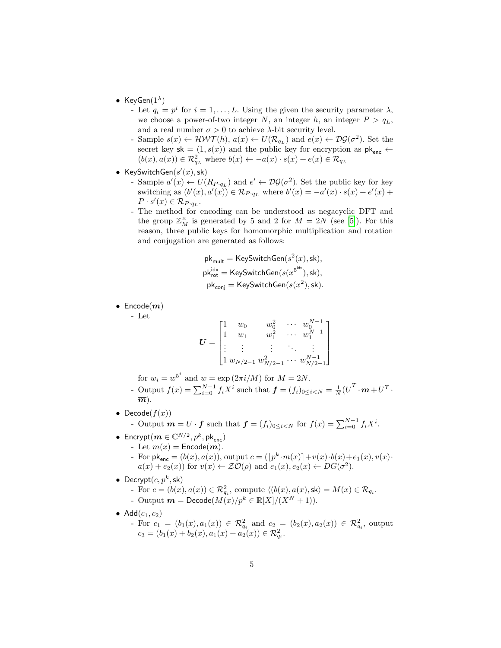- KeyGen $(1^{\lambda})$ 
	- Let  $q_i = p^i$  for  $i = 1, ..., L$ . Using the given the security parameter  $\lambda$ , we choose a power-of-two integer N, an integer  $h$ , an integer  $P > q<sub>L</sub>$ , and a real number  $\sigma > 0$  to achieve  $\lambda$ -bit security level.
	- Sample  $s(x) \leftarrow \mathcal{HWT}(h)$ ,  $a(x) \leftarrow U(\mathcal{R}_{q_L})$  and  $e(x) \leftarrow \mathcal{DG}(\sigma^2)$ . Set the secret key sk =  $(1, s(x))$  and the public key for encryption as  $pk_{enc}$   $\leftarrow$  $(b(x), a(x)) \in \mathcal{R}_{q_L}^2$  where  $b(x) \leftarrow -a(x) \cdot s(x) + e(x) \in \mathcal{R}_{q_L}$
- KeySwitchGen $(s'(x),$ sk)
	- Sample  $a'(x) \leftarrow U(R_{P \cdot q_L})$  and  $e' \leftarrow \mathcal{DG}(\sigma^2)$ . Set the public key for key switching as  $(b'(x), a'(x)) \in \mathcal{R}_{P \cdot q_L}$  where  $b'(x) = -a'(x) \cdot s(x) + e'(x) +$  $P \cdot s'(x) \in \mathcal{R}_{P \cdot q_L}.$
	- The method for encoding can be understood as negacyclic DFT and the group  $\mathbb{Z}_M^\times$  is generated by 5 and 2 for  $M = 2N$  (see [\[5\]](#page-17-8)). For this reason, three public keys for homomorphic multiplication and rotation and conjugation are generated as follows:

$$
\begin{aligned} \mathsf{pk}_{\mathsf{mult}} &= \mathsf{KeySwitchGen}(s^2(x),\mathsf{sk}), \\ \mathsf{pk}_{\mathsf{rot}}^{\mathsf{idx}} &= \mathsf{KeySwitchGen}(s(x^{\mathsf{S}^{\mathsf{idx}}}),\mathsf{sk}), \\ \mathsf{pk}_{\mathsf{conj}} &= \mathsf{KeySwitchGen}(s(x^2),\mathsf{sk}). \end{aligned}
$$

 $\bullet$  Encode $(m)$ 

- Let

$$
\boldsymbol{U} = \begin{bmatrix} 1 & w_0 & w_0^2 & \cdots & w_0^{N-1} \\ 1 & w_1 & w_1^2 & \cdots & w_1^{N-1} \\ \vdots & \vdots & \vdots & \ddots & \vdots \\ 1 & w_{N/2-1} & w_{N/2-1}^2 & \cdots & w_{N/2-1}^{N-1} \end{bmatrix}
$$

for  $w_i = w^{5^i}$  and  $w = \exp(2\pi i/M)$  for  $M = 2N$ .

- Output  $f(x) = \sum_{i=0}^{N-1} f_i X^i$  such that  $\boldsymbol{f} = (f_i)_{0 \leq i < N} = \frac{1}{N} (\overline{U}^T \cdot \boldsymbol{m} + U^T \cdot$  $\overline{m}$ ).
- Decode $(f(x))$

- Output  $m = U \cdot f$  such that  $f = (f_i)_{0 \le i < N}$  for  $f(x) = \sum_{i=0}^{N-1} f_i X^i$ .

- Encrypt $(\boldsymbol{m}\in \mathbb{C}^{N/2}, p^k, \mathsf{pk}_{\mathsf{enc}})$ 
	- Let  $m(x)$  = Encode(*m*).
	- For  $\mathsf{pk}_{\mathsf{enc}} = (b(x), a(x)),$  output  $c = (\lfloor p^k \cdot m(x) \rceil + v(x) \cdot b(x) + e_1(x), v(x) \cdot b(x))$  $a(x) + e_2(x)$  for  $v(x) \leftarrow \mathcal{ZO}(\rho)$  and  $e_1(x), e_2(x) \leftarrow DG(\sigma^2)$ .
- Decrypt $(c, p^k, sk)$ 
	- For  $c = (b(x), a(x)) \in \mathcal{R}_{q_i}^2$ , compute  $\langle (b(x), a(x), \mathsf{sk}\rangle = M(x) \in \mathcal{R}_{q_i}$ . - Output  $m = \textsf{Decode}(M(x)/p^k \in \mathbb{R}[X]/(X^N + 1)).$
- Add $(c_1, c_2)$ 
	- For  $c_1 = (b_1(x), a_1(x)) \in \mathcal{R}_{q_i}^2$  and  $c_2 = (b_2(x), a_2(x)) \in \mathcal{R}_{q_i}^2$ , output  $c_3 = (b_1(x) + b_2(x), a_1(x) + a_2(x)) \in \mathcal{R}_{q_i}^2.$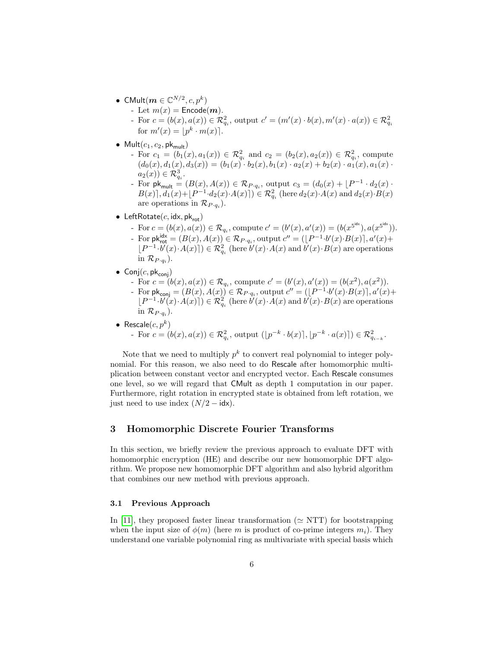- CMult $(\boldsymbol{m}\in \mathbb{C}^{N/2},c,p^k)$ 
	- Let  $m(x)$  = Encode(*m*).

- For  $c = (b(x), a(x)) \in \mathcal{R}_{q_i}^2$ , output  $c' = (m'(x) \cdot b(x), m'(x) \cdot a(x)) \in \mathcal{R}_{q_i}^2$ for  $m'(x) = \lfloor p^k \cdot m(x) \rfloor$ .

- Mult $(c_1, c_2, \mathsf{pk}_{\mathsf{mult}})$ 
	- For  $c_1 = (b_1(x), a_1(x)) \in \mathcal{R}_{q_i}^2$  and  $c_2 = (b_2(x), a_2(x)) \in \mathcal{R}_{q_i}^2$ , compute  $(d_0(x), d_1(x), d_3(x)) = (b_1(x) \cdot b_2(x), b_1(x) \cdot a_2(x) + b_2(x) \cdot a_1(x), a_1(x) \cdot b_2(x))$  $a_2(x)) \in \mathcal{R}^3_{q_i}.$
	- For  $\mathsf{pk}_{\mathsf{mult}} = (B(x), A(x)) \in \mathcal{R}_{P \cdot q_i}$ , output  $c_3 = (d_0(x) + [P^{-1} \cdot d_2(x) \cdot$  $B(x)$ ,  $d_1(x) + \lfloor P^{-1} \cdot d_2(x) \cdot A(x) \rceil$   $\in \mathcal{R}^2_{q_i}$  (here  $d_2(x) \cdot A(x)$  and  $d_2(x) \cdot B(x)$ are operations in  $\mathcal{R}_{P \cdot q_i}$ .
- LeftRotate $(c, \text{idx}, \text{pk}_{\text{rot}})$ 
	- For  $c = (b(x), a(x)) \in \mathcal{R}_{q_i}$ , compute  $c' = (b'(x), a'(x)) = (b(x^{\{5} \text{idx}}), a(x^{\{5} \text{idx}})).$ For  $\mathsf{pk}_{\mathsf{rot}}^{\mathsf{id}\times} = (B(x), A(x)) \in \mathcal{R}_{P \cdot q_i}$ , output  $c'' = (\lfloor P^{-1} \cdot b'(x) \cdot B(x) \rfloor, a'(x) +$  $[P^{-1} \cdot b'(x) \cdot A(x)]) \in \mathcal{R}_{q_i}^2$  (here  $b'(x) \cdot A(x)$  and  $b'(x) \cdot B(x)$  are operations in  $\mathcal{R}_{P \cdot q_i}$ ).
- $\bullet$  Conj $(c, \mathsf{pk}_{\mathsf{conj}})$ 
	- For  $c = (b(x), a(x)) \in \mathcal{R}_{q_i}$ , compute  $c' = (b'(x), a'(x)) = (b(x^2), a(x^2))$ .
	- For  $\mathsf{pk}_{\mathsf{conj}} = (B(x), A(x)) \in \mathcal{R}_{P \cdot q_i}$ , output  $c'' = (\lfloor P^{-1} \cdot b'(x) \cdot B(x) \rfloor, a'(x) +$  $[P^{-1} \cdot b'(x) \cdot A(x)]) \in \mathcal{R}_{q_i}^2$  (here  $b'(x) \cdot A(x)$  and  $b'(x) \cdot B(x)$  are operations in  $\mathcal{R}_{P \cdot q_i}$ ).
- Rescale $(c, p^k)$ - For  $c = (b(x), a(x)) \in \mathcal{R}_{q_i}^2$ , output  $([p^{-k} \cdot b(x)], [p^{-k} \cdot a(x)]) \in \mathcal{R}_{q_{i-k}}^2$ .

Note that we need to multiply  $p^k$  to convert real polynomial to integer polynomial. For this reason, we also need to do Rescale after homomorphic multiplication between constant vector and encrypted vector. Each Rescale consumes one level, so we will regard that CMult as depth 1 computation in our paper. Furthermore, right rotation in encrypted state is obtained from left rotation, we just need to use index  $(N/2 - i d x)$ .

## <span id="page-5-0"></span>3 Homomorphic Discrete Fourier Transforms

In this section, we briefly review the previous approach to evaluate DFT with homomorphic encryption (HE) and describe our new homomorphic DFT algorithm. We propose new homomorphic DFT algorithm and also hybrid algorithm that combines our new method with previous approach.

## 3.1 Previous Approach

In [\[11\]](#page-17-1), they proposed faster linear transformation ( $\simeq$  NTT) for bootstrapping when the input size of  $\phi(m)$  (here m is product of co-prime integers  $m_i$ ). They understand one variable polynomial ring as multivariate with special basis which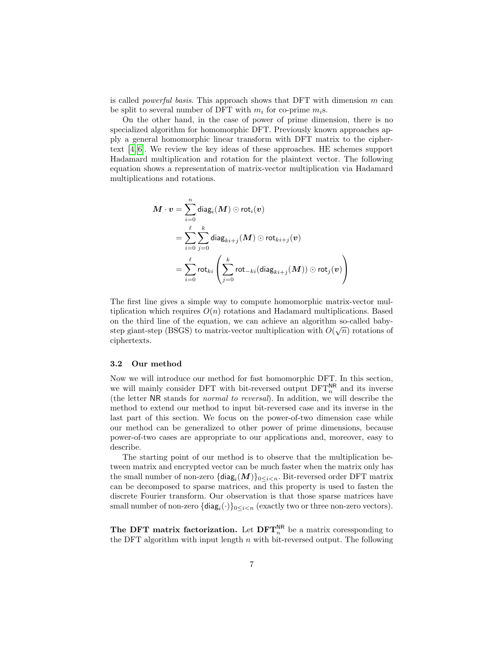is called *powerful basis*. This approach shows that DFT with dimension  $m$  can be split to several number of DFT with  $m_i$  for co-prime  $m_i$ s.

On the other hand, in the case of power of prime dimension, there is no specialized algorithm for homomorphic DFT. Previously known approaches apply a general homomorphic linear transform with DFT matrix to the ciphertext [\[4,](#page-17-7) [6\]](#page-17-4). We review the key ideas of these approaches. HE schemes support Hadamard multiplication and rotation for the plaintext vector. The following equation shows a representation of matrix-vector multiplication via Hadamard multiplications and rotations.

$$
\begin{aligned} \boldsymbol{M}\cdot\boldsymbol{v} &= \sum_{i=0}^n \text{diag}_i(\boldsymbol{M}) \odot \text{rot}_i(\boldsymbol{v}) \\ &= \sum_{i=0}^\ell \sum_{j=0}^k \text{diag}_{ki+j}(\boldsymbol{M}) \odot \text{rot}_{ki+j}(\boldsymbol{v}) \\ &= \sum_{i=0}^\ell \text{rot}_{ki}\left(\sum_{j=0}^k \text{rot}_{-ki}(\text{diag}_{ki+j}(\boldsymbol{M})) \odot \text{rot}_j(\boldsymbol{v})\right) \end{aligned}
$$

The first line gives a simple way to compute homomorphic matrix-vector multiplication which requires  $O(n)$  rotations and Hadamard multiplications. Based on the third line of the equation, we can achieve an algorithm so-called babystep giant-step (BSGS) to matrix-vector multiplication with  $O(\sqrt{n})$  rotations of ciphertexts.

#### 3.2 Our method

Now we will introduce our method for fast homomorphic DFT. In this section, we will mainly consider DFT with bit-reversed output  $DFT_n^{\text{NR}}$  and its inverse (the letter NR stands for normal to reversal). In addition, we will describe the method to extend our method to input bit-reversed case and its inverse in the last part of this section. We focus on the power-of-two dimension case while our method can be generalized to other power of prime dimensions, because power-of-two cases are appropriate to our applications and, moreover, easy to describe.

The starting point of our method is to observe that the multiplication between matrix and encrypted vector can be much faster when the matrix only has the small number of non-zero  $\{{\sf diag}_i(M)\}_{0\leq i < n}$ . Bit-reversed order DFT matrix can be decomposed to sparse matrices, and this property is used to fasten the discrete Fourier transform. Our observation is that those sparse matrices have small number of non-zero  $\{\text{diag}_i(\cdot)\}_{0 \leq i \leq n}$  (exactly two or three non-zero vectors).

The DFT matrix factorization. Let  $\text{DFT}_n^{\text{NR}}$  be a matrix coressponding to the DFT algorithm with input length  $n$  with bit-reversed output. The following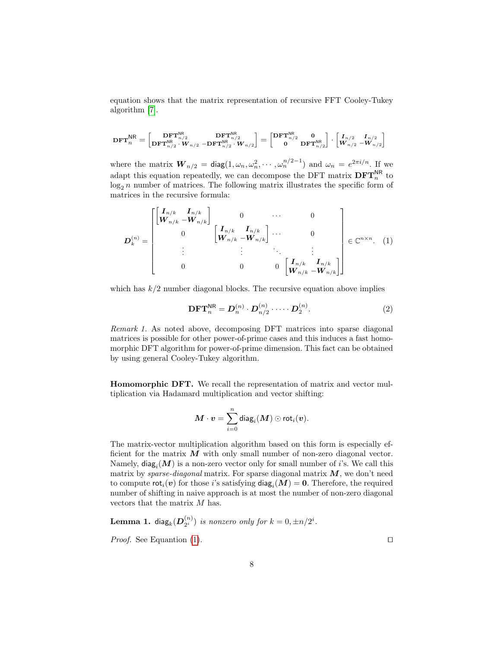equation shows that the matrix representation of recursive FFT Cooley-Tukey algorithm [\[7\]](#page-17-9).

$$
\text{DFT}_n^{\text{NR}} = \begin{bmatrix} \text{DFT}_{n/2}^{\text{NR}} & \text{DFT}_{n/2}^{\text{NR}} \\ \text{DFT}_{n/2}^{\text{NR}} \cdot W_{n/2} - \text{DFT}_{n/2}^{\text{NR}} \cdot W_{n/2} \end{bmatrix} = \begin{bmatrix} \text{DFT}_{n/2}^{\text{NR}} & 0 \\ 0 & \text{DFT}_{n/2}^{\text{NR}} \end{bmatrix} \cdot \begin{bmatrix} I_{n/2} & I_{n/2} \\ W_{n/2} & -W_{n/2} \end{bmatrix}
$$

where the matrix  $\bm{W}_{n/2} = \text{diag}(1, \omega_n, \omega_n^2, \cdots, \omega_n^{n/2-1})$  and  $\omega_n = e^{2\pi i/n}$ . If we adapt this equation repeatedly, we can decompose the DFT matrix  $\text{DFT}_n^{\text{NR}}$  to  $\log_2 n$  number of matrices. The following matrix illustrates the specific form of matrices in the recursive formula:

<span id="page-7-0"></span>
$$
\boldsymbol{D}_{k}^{(n)} = \begin{bmatrix} \begin{bmatrix} \boldsymbol{I}_{n/k} & \boldsymbol{I}_{n/k} \\ \boldsymbol{W}_{n/k} & -\boldsymbol{W}_{n/k} \end{bmatrix} & 0 & \cdots & 0 \\ 0 & \begin{bmatrix} \boldsymbol{I}_{n/k} & \boldsymbol{I}_{n/k} \\ \boldsymbol{W}_{n/k} & -\boldsymbol{W}_{n/k} \end{bmatrix} & \cdots & 0 \\ \vdots & \vdots & \ddots & \vdots \\ 0 & 0 & 0 & \begin{bmatrix} \boldsymbol{I}_{n/k} & \boldsymbol{I}_{n/k} \\ \boldsymbol{W}_{n/k} & -\boldsymbol{W}_{n/k} \end{bmatrix} \end{bmatrix} \in \mathbb{C}^{n \times n}.
$$
 (1)

which has  $k/2$  number diagonal blocks. The recursive equation above implies

<span id="page-7-2"></span>
$$
\mathbf{DFT}_n^{\mathsf{NR}} = \mathbf{D}_n^{(n)} \cdot \mathbf{D}_{n/2}^{(n)} \cdot \dots \cdot \mathbf{D}_2^{(n)}.
$$
 (2)

Remark 1. As noted above, decomposing DFT matrices into sparse diagonal matrices is possible for other power-of-prime cases and this induces a fast homomorphic DFT algorithm for power-of-prime dimension. This fact can be obtained by using general Cooley-Tukey algorithm.

Homomorphic DFT. We recall the representation of matrix and vector multiplication via Hadamard multiplication and vector shifting:

$$
\boldsymbol{M}\cdot \boldsymbol{v}=\sum_{i=0}^n \mathsf{diag}_i(\boldsymbol{M})\odot \mathsf{rot}_i(\boldsymbol{v}).
$$

The matrix-vector multiplication algorithm based on this form is especially efficient for the matrix  $M$  with only small number of non-zero diagonal vector. Namely,  $\textsf{diag}_i(M)$  is a non-zero vector only for small number of *i*'s. We call this matrix by sparse-diagonal matrix. For sparse diagonal matrix  $M$ , we don't need to compute  $\mathsf{rot}_i(\bm{v})$  for those  $i$ 's satisfying  $\mathsf{diag}_i(M)=\bm{0}$ . Therefore, the required number of shifting in naive approach is at most the number of non-zero diagonal vectors that the matrix M has.

<span id="page-7-1"></span>**Lemma 1. diag<sub>k</sub>**(
$$
\mathbf{D}_{2^i}^{(n)}
$$
) is nonzero only for  $k = 0, \pm n/2^i$ .  
Proof. See Equation (1).

 $(1)$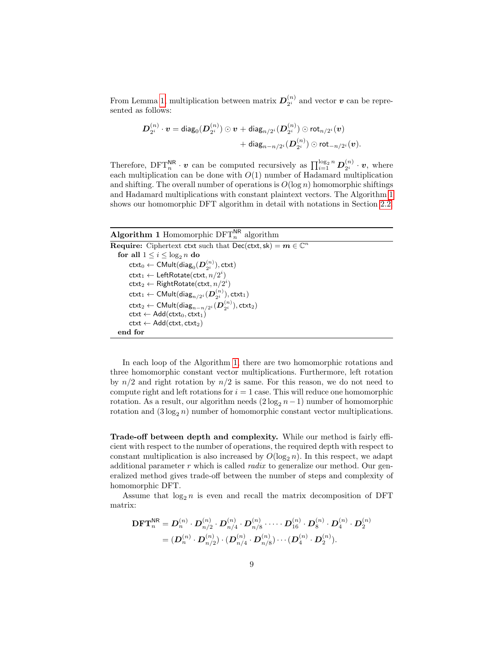From Lemma [1,](#page-7-1) multiplication between matrix  $D_{2i}^{(n)}$  $\binom{n}{2^i}$  and vector **v** can be represented as follows:

$$
\begin{aligned} \boldsymbol{D}^{(n)}_{2^i} \cdot \boldsymbol{v} = \text{diag}_0(\boldsymbol{D}^{(n)}_{2^i}) \odot \boldsymbol{v} + \text{diag}_{n/2^i}(\boldsymbol{D}^{(n)}_{2^i}) \odot \text{rot}_{n/2^i}(\boldsymbol{v}) \\ &+ \text{diag}_{n-n/2^i}(\boldsymbol{D}^{(n)}_{2^i}) \odot \text{rot}_{-n/2^i}(\boldsymbol{v}). \end{aligned}
$$

Therefore,  $\text{DFT}_n^{\text{NR}} \cdot \boldsymbol{v}$  can be computed recursively as  $\prod_{i=1}^{\log_2 n} D_{2^i}^{(n)}$  $\binom{n}{2^i} \cdot \bm{v}$ , where each multiplication can be done with  $O(1)$  number of Hadamard multiplication and shifting. The overall number of operations is  $O(\log n)$  homomorphic shiftings and Hadamard multiplications with constant plaintext vectors. The Algorithm [1](#page-8-0) shows our homomorphic DFT algorithm in detail with notations in Section [2.2.](#page-3-0)

## Algorithm 1 Homomorphic  $\text{DFT}_n^{\text{NR}}$  algorithm

```
Require: Ciphertext ctxt such that \text{Dec}(\text{ctxt}, \text{sk}) = m \in \mathbb{C}^nfor all 1\leq i\leq \log_2 n do
 \mathsf{ctxt}_0 \leftarrow \mathsf{CMult}(\mathsf{diag}_0(\bm{D}_{2^i}^{(n)}),\mathsf{ctxt})\textsf{ctxt}_1 \leftarrow \textsf{LeftRotation}(\textsf{ctxt}, n/2^i)\textsf{ctxt}_2 \leftarrow \textsf{RightRotate}(\textsf{ctxt}, n/2^i)\mathsf{ctxt}_1 \leftarrow \mathsf{CMult}(\mathsf{diag}_{n/2^i}(\boldsymbol{D}_{2^i}^{(n)}),\mathsf{ctxt}_1)\mathsf{ctxt}_2 \leftarrow \mathsf{CMult}(\mathsf{diag}_{n-n/2^i}(\boldsymbol{D}_{2^i}^{(n)}),\mathsf{ctxt}_2)\text{ctxt} \leftarrow \text{Add}(\text{ctxt}_0, \text{ctxt}_1)\textsf{ctxt} \leftarrow \textsf{Add}(\textsf{ctxt},\textsf{ctxt}_2)end for
```
In each loop of the Algorithm [1,](#page-8-0) there are two homomorphic rotations and three homomorphic constant vector multiplications. Furthermore, left rotation by  $n/2$  and right rotation by  $n/2$  is same. For this reason, we do not need to compute right and left rotations for  $i = 1$  case. This will reduce one homomorphic rotation. As a result, our algorithm needs  $(2 \log_2 n - 1)$  number of homomorphic rotation and  $(3 \log_2 n)$  number of homomorphic constant vector multiplications.

Trade-off between depth and complexity. While our method is fairly efficient with respect to the number of operations, the required depth with respect to constant multiplication is also increased by  $O(\log_2 n)$ . In this respect, we adapt additional parameter r which is called *radix* to generalize our method. Our generalized method gives trade-off between the number of steps and complexity of homomorphic DFT.

Assume that  $\log_2 n$  is even and recall the matrix decomposition of DFT matrix:

$$
\begin{aligned} \mathbf{DFT}_n^{\mathsf{NR}} &= \bm{D}_n^{(n)} \cdot \bm{D}_{n/2}^{(n)} \cdot \bm{D}_{n/4}^{(n)} \cdot \bm{D}_{n/8}^{(n)} \cdot \cdots \cdot \bm{D}_{16}^{(n)} \cdot \bm{D}_8^{(n)} \cdot \bm{D}_4^{(n)} \cdot \bm{D}_2^{(n)} \\ &= (\bm{D}_n^{(n)} \cdot \bm{D}_{n/2}^{(n)}) \cdot (\bm{D}_{n/4}^{(n)} \cdot \bm{D}_{n/8}^{(n)}) \cdots (\bm{D}_4^{(n)} \cdot \bm{D}_2^{(n)}). \end{aligned}
$$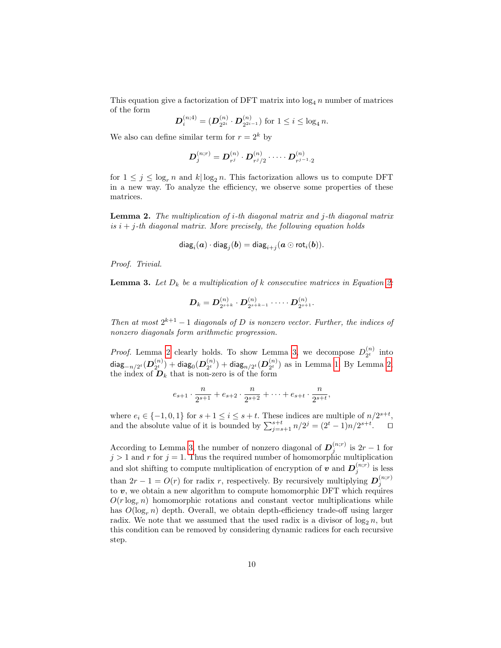This equation give a factorization of DFT matrix into  $\log_4 n$  number of matrices of the form

$$
\boldsymbol{D}_i^{(n;4)} = (\boldsymbol{D}_{2^{2i}}^{(n)} \cdot \boldsymbol{D}_{2^{2i-1}}^{(n)}) \text{ for } 1 \leq i \leq \log_4 n.
$$

We also can define similar term for  $r = 2^k$  by

$$
\boldsymbol{D}_j^{(n;r)} = \boldsymbol{D}_{r^j}^{(n)} \cdot \boldsymbol{D}_{r^j/2}^{(n)} \cdot \dots \cdot \boldsymbol{D}_{r^{j-1} \cdot 2}^{(n)}
$$

for  $1 \leq j \leq \log_r n$  and  $k | \log_2 n$ . This factorization allows us to compute DFT in a new way. To analyze the efficiency, we observe some properties of these matrices.

<span id="page-9-0"></span>**Lemma 2.** The multiplication of i-th diagonal matrix and j-th diagonal matrix is  $i + j$ -th diagonal matrix. More precisely, the following equation holds

$$
\mathsf{diag}_i(\bm{a}) \cdot \mathsf{diag}_j(\bm{b}) = \mathsf{diag}_{i+j}(\bm{a} \odot \mathsf{rot}_i(\bm{b})).
$$

Proof. Trivial.

<span id="page-9-1"></span>**Lemma 3.** Let  $D_k$  be a multiplication of k consecutive matrices in Equation [2:](#page-7-2)

$$
\boldsymbol{D}_k = \boldsymbol{D}^{(n)}_{2^{s+k}} \cdot \boldsymbol{D}^{(n)}_{2^{s+k-1}} \cdot \dots \cdot \boldsymbol{D}^{(n)}_{2^{s+1}}.
$$

Then at most  $2^{k+1} - 1$  diagonals of D is nonzero vector. Further, the indices of nonzero diagonals form arithmetic progression.

*Proof.* Lemma [2](#page-9-0) clearly holds. To show Lemma [3,](#page-9-1) we decompose  $D_{2t}^{(n)}$  $\binom{n}{2^t}$  into diag ${}_{-n/2^t}(\bm{D}_{2^t}^{(n)}$  $\binom{\left(n\right)}{2^t} + \mathsf{diag}_0(\boldsymbol{D}_{2^t}^{\left(n\right)})$  $\binom{n}{2^t}+\mathsf{diag}_{n/2^t}(\boldsymbol{D}_{2^t}^{(n)})$  $\binom{n}{2^t}$  as in Lemma [1.](#page-7-1) By Lemma [2,](#page-9-0) the index of  $D_k$  that is non-zero is of the form

$$
e_{s+1} \cdot \frac{n}{2^{s+1}} + e_{s+2} \cdot \frac{n}{2^{s+2}} + \cdots + e_{s+t} \cdot \frac{n}{2^{s+t}},
$$

where  $e_i \in \{-1, 0, 1\}$  for  $s + 1 \leq i \leq s + t$ . These indices are multiple of  $n/2^{s+t}$ , and the absolute value of it is bounded by  $\sum_{j=s+1}^{s+t} n/2^j = (2^t - 1)n/2^{s+t}$ .  $\Box$ 

According to Lemma [3,](#page-9-1) the number of nonzero diagonal of  $D_i^{(n;r)}$  is  $2r-1$  for According to Lemma 3, the number of homogeneous diagonal of  $D_j$  is  $2i - 1$  for  $j > 1$  and r for  $j = 1$ . Thus the required number of homomorphic multiplication and slot shifting to compute multiplication of encryption of  $v$  and  $D_j^{(n;r)}$  is less than  $2r - 1 = O(r)$  for radix r, respectively. By recursively multiplying  $D_j^{(n,r)}$ to  $v$ , we obtain a new algorithm to compute homomorphic DFT which requires  $O(r \log_e n)$  homomorphic rotations and constant vector multiplications while has  $O(\log_r n)$  depth. Overall, we obtain depth-efficiency trade-off using larger radix. We note that we assumed that the used radix is a divisor of  $\log_2 n$ , but this condition can be removed by considering dynamic radices for each recursive step.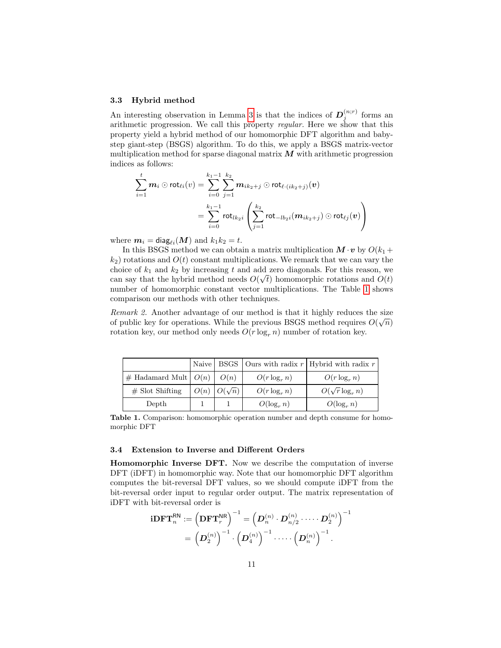#### 3.3 Hybrid method

An interesting observation in Lemma [3](#page-9-1) is that the indices of  $\mathbf{D}_j^{(n;r)}$  forms an arithmetic progression. We call this property regular. Here we show that this property yield a hybrid method of our homomorphic DFT algorithm and babystep giant-step (BSGS) algorithm. To do this, we apply a BSGS matrix-vector multiplication method for sparse diagonal matrix  $M$  with arithmetic progression indices as follows:

$$
\sum_{i=1}^tm_i\odot\mathsf{rot}_{\ell i}(v)=\sum_{i=0}^{k_1-1}\sum_{j=1}^{k_2}\bm{m}_{ik_2+j}\odot\mathsf{rot}_{\ell\cdot(ik_2+j)}(\bm{v})\\=\sum_{i=0}^{k_1-1}\mathsf{rot}_{lk_2i}\left(\sum_{j=1}^{k_2}\mathsf{rot}_{-lb_2i}(\bm{m}_{ik_2+j})\odot\mathsf{rot}_{\ell j}(\bm{v})\right)
$$

where  $m_i = diag_{\ell i}(M)$  and  $k_1k_2 = t$ .

In this BSGS method we can obtain a matrix multiplication  $M \cdot v$  by  $O(k_1 +$  $k_2$ ) rotations and  $O(t)$  constant multiplications. We remark that we can vary the choice of  $k_1$  and  $k_2$  by increasing t and add zero diagonals. For this reason, we can say that the hybrid method needs  $O(\sqrt{t})$  homomorphic rotations and  $O(t)$ number of homomorphic constant vector multiplications. The Table [1](#page-10-0) shows comparison our methods with other techniques.

Remark 2. Another advantage of our method is that it highly reduces the size of public key for operations. While the previous BSGS method requires  $O(\sqrt{n})$ rotation key, our method only needs  $O(r \log_r n)$  number of rotation key.

|                                     |                      |                 | Naive   BSGS   Ours with radix $r$   Hybrid with radix $r$ |
|-------------------------------------|----------------------|-----------------|------------------------------------------------------------|
| $\#$ Hadamard Mult $\mid O(n) \mid$ | O(n)                 | $O(r \log_r n)$ | $O(r \log_e n)$                                            |
| $#$ Slot Shifting                   | $O(n)$ $O(\sqrt{n})$ | $O(r \log_r n)$ | $O(\sqrt{r} \log_n n)$                                     |
| Depth                               |                      | $O(\log_r n)$   | $O(\log_r n)$                                              |

Table 1. Comparison: homomorphic operation number and depth consume for homomorphic DFT

#### 3.4 Extension to Inverse and Different Orders

<span id="page-10-1"></span>Homomorphic Inverse DFT. Now we describe the computation of inverse DFT (iDFT) in homomorphic way. Note that our homomorphic DFT algorithm computes the bit-reversal DFT values, so we should compute iDFT from the bit-reversal order input to regular order output. The matrix representation of iDFT with bit-reversal order is

<span id="page-10-0"></span>
$$
\begin{aligned} \mathbf{i}\mathbf{D}\mathbf{F}\mathbf{T}^{\mathsf{RN}}_n &:= \left(\mathbf{D}\mathbf{F}\mathbf{T}^{\mathsf{NR}}_r\right)^{-1} = \left(\boldsymbol{D}^{(n)}_n\cdot \boldsymbol{D}^{(n)}_{n/2}\cdot \dots\cdot \boldsymbol{D}^{(n)}_2\right)^{-1} \\ & = \left(\boldsymbol{D}^{(n)}_2\right)^{-1}\cdot \left(\boldsymbol{D}^{(n)}_4\right)^{-1}\cdot \dots\cdot \left(\boldsymbol{D}^{(n)}_n\right)^{-1} . \end{aligned}
$$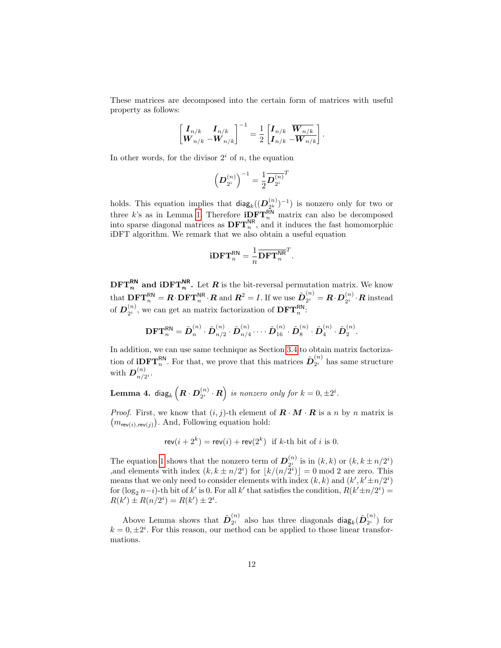These matrices are decomposed into the certain form of matrices with useful property as follows:

$$
\begin{bmatrix} \boldsymbol{I}_{n/k} & \boldsymbol{I}_{n/k} \\ \boldsymbol{W}_{n/k} & -\boldsymbol{W}_{n/k} \end{bmatrix}^{-1} = \frac{1}{2} \begin{bmatrix} \boldsymbol{I}_{n/k} & \overline{\boldsymbol{W}_{n/k}} \\ \boldsymbol{I}_{n/k} & -\overline{\boldsymbol{W}_{n/k}} \end{bmatrix}.
$$

In other words, for the divisor  $2^i$  of n, the equation

$$
\left({\cal D}_{2^i}^{(n)}\right)^{-1} = \frac{1}{2} {\overline{{\cal D}_{2^i}^{(n)}}}^T
$$

holds. This equation implies that  $\textsf{diag}_k((\boldsymbol{D}_{2^k}^{(n)}))$  $\binom{n}{2^k}$  –1) is nonzero only for two or three k's as in Lemma [1.](#page-7-1) Therefore  $i$ **DFT**<sup>RN</sup></sub> matrix can also be decomposed into sparse diagonal matrices as  $\text{DFT}_n^{\text{NR}}$ , and it induces the fast homomorphic iDFT algorithm. We remark that we also obtain a useful equation

$$
\mathbf{i}\mathbf{D}\mathbf{F}\mathbf{T}^{\mathsf{RN}}_n = \frac{1}{n}\overline{\mathbf{D}\mathbf{F}\mathbf{T}^{\mathsf{NR}}_n}^T.
$$

 $\text{DFT}_n^{\text{RN}}$  and  $\text{iDFT}_n^{\text{NR}}$ . Let R is the bit-reversal permutation matrix. We know that  $\mathbf{DFT}_n^{\mathsf{RN}} = \bm{R}\!\cdot\!\mathbf{DFT}_n^{\mathsf{NR}}\!\cdot\!\bm{R}$  and  $\bm{R}^2 = I.$  If we use  $\tilde{\bm{D}}_{2^i}^{(n)}$  $\mathbf{Z}_2^{(n)} = \boldsymbol{R}\!\cdot\!\boldsymbol{D}^{(n)}_{2^i}$  $\mathbb{C}_2^{(n)}\cdot \boldsymbol{R}$  instead of  $\bm{D}_{2^i}^{(n)}$  $\mathbf{L}_{2^i}^{(n)}$ , we can get an matrix factorization of  $\mathbf{DFT}_n^{\mathsf{RN}}$ :

$$
\textbf{DFT}_n^{\textsf{RN}} = \tilde{\boldsymbol{D}}_n^{(n)} \cdot \tilde{\boldsymbol{D}}_{n/2}^{(n)} \cdot \tilde{\boldsymbol{D}}_{n/4}^{(n)} \cdots \tilde{\boldsymbol{D}}_{16}^{(n)} \cdot \tilde{\boldsymbol{D}}_8^{(n)} \cdot \tilde{\boldsymbol{D}}_4^{(n)} \cdot \tilde{\boldsymbol{D}}_2^{(n)}.
$$

In addition, we can use same technique as Section [3.4](#page-10-1) to obtain matrix factorization of **iDFT**<sup>RN</sup>. For that, we prove that this matrices  $\tilde{D}_{2^i}^{(n)}$  $\binom{n}{2^i}$  has same structure with  $\boldsymbol{D}^{(n)}_{n/2}$  $\frac{(n)}{n/2^i}$ .

Lemma 4. diag $_k\left(\boldsymbol{R}\cdot\boldsymbol{D}_{2^i}^{(n)}\right)$  $\left(\begin{matrix} n\cr 2^i\end{matrix}\right)$  is nonzero only for  $k=0,\pm 2^i$ .

*Proof.* First, we know that  $(i, j)$ -th element of  $\mathbf{R} \cdot \mathbf{M} \cdot \mathbf{R}$  is a n by n matrix is  $(m_{\mathsf{rev}(i),\mathsf{rev}(j)})$ . And, Following equation hold:

$$
rev(i + 2k) = rev(i) + rev(2k) \text{ if } k\text{-th bit of } i \text{ is 0.}
$$

The equation [1](#page-7-0) shows that the nonzero term of  $D_{\gamma_i}^{(n)}$  $\sum_{2i}^{(n)}$  is in  $(k, k)$  or  $(k, k \pm n/2^i)$ , and elements with index  $(k, k \pm n/2^i)$  for  $\lfloor k/(n/2^i) \rfloor = 0 \mod 2$  are zero. This means that we only need to consider elements with index  $(k, k)$  and  $(k', k' \pm n/2^i)$ for  $(\log_2 n - i)$ -th bit of k' is 0. For all k' that satisfies the condition,  $R(k' \pm n/2^i)$  =  $R(k') \pm R(n/2^i) = R(k') \pm 2^i.$ 

Above Lemma shows that  $\tilde{\mathbf{D}}_{2^i}^{(n)}$  $\tilde{\mathbf{z}}_2^{(n)}$  also has three diagonals diag $_k(\tilde{\mathbf{D}}_{2^i}^{(n)})$  $\binom{n}{2^i}$  for  $k = 0, \pm 2^i$ . For this reason, our method can be applied to those linear transformations.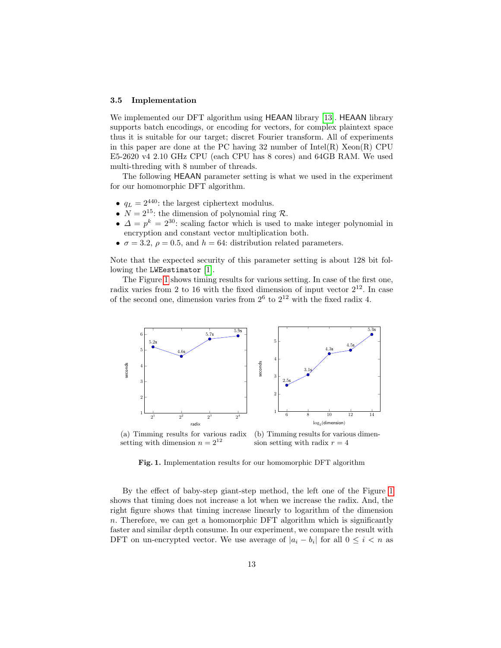#### <span id="page-12-1"></span>3.5 Implementation

We implemented our DFT algorithm using HEAAN library [\[13\]](#page-17-3). HEAAN library supports batch encodings, or encoding for vectors, for complex plaintext space thus it is suitable for our target; discret Fourier transform. All of experiments in this paper are done at the PC having  $32$  number of Intel(R) Xeon(R) CPU E5-2620 v4 2.10 GHz CPU (each CPU has 8 cores) and 64GB RAM. We used multi-threding with 8 number of threads.

The following HEAAN parameter setting is what we used in the experiment for our homomorphic DFT algorithm.

- $q_L = 2^{440}$ : the largest ciphertext modulus.
- $N = 2^{15}$ : the dimension of polynomial ring R.
- $\Delta = p^k = 2^{30}$ : scaling factor which is used to make integer polynomial in encryption and constant vector multiplication both.
- $\sigma = 3.2$ ,  $\rho = 0.5$ , and  $h = 64$ : distribution related parameters.

Note that the expected security of this parameter setting is about 128 bit following the LWEestimator [\[1\]](#page-16-2).

The Figure [1](#page-12-0) shows timing results for various setting. In case of the first one, radix varies from 2 to 16 with the fixed dimension of input vector  $2^{12}$ . In case of the second one, dimension varies from  $2^6$  to  $2^{12}$  with the fixed radix 4.



(a) Timming results for various radix setting with dimension  $n = 2^{12}$ (b) Timming results for various dimension setting with radix  $r = 4$ 

<span id="page-12-0"></span>Fig. 1. Implementation results for our homomorphic DFT algorithm

By the effect of baby-step giant-step method, the left one of the Figure [1](#page-12-0) shows that timing does not increase a lot when we increase the radix. And, the right figure shows that timing increase linearly to logarithm of the dimension n. Therefore, we can get a homomorphic DFT algorithm which is significantly faster and similar depth consume. In our experiment, we compare the result with DFT on un-encrypted vector. We use average of  $|a_i - b_i|$  for all  $0 \leq i < n$  as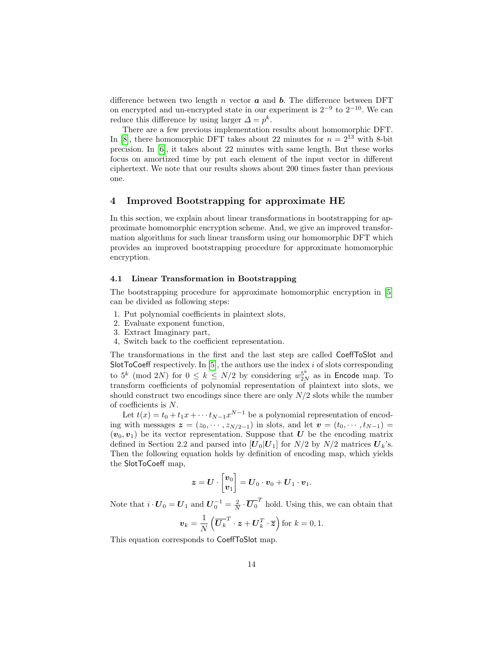difference between two length  $n$  vector  $\boldsymbol{a}$  and  $\boldsymbol{b}$ . The difference between DFT on encrypted and un-encrypted state in our experiment is  $2^{-9}$  to  $2^{-10}$ . We can reduce this difference by using larger  $\Delta = p^k$ .

There are a few previous implementation results about homomorphic DFT. In [\[8\]](#page-17-5), there homomorphic DFT takes about 22 minutes for  $n = 2^{13}$  with 8-bit precision. In [\[6\]](#page-17-4), it takes about 22 minutes with same length. But these works focus on amortized time by put each element of the input vector in different ciphertext. We note that our results shows about 200 times faster than previous one.

## <span id="page-13-0"></span>4 Improved Bootstrapping for approximate HE

In this section, we explain about linear transformations in bootstrapping for approximate homomorphic encryption scheme. And, we give an improved transformation algorithms for such linear transform using our homomorphic DFT which provides an improved bootstrapping procedure for approximate homomorphic encryption.

#### 4.1 Linear Transformation in Bootstrapping

The bootstrapping procedure for approximate homomorphic encryption in [\[5\]](#page-17-8) can be divided as following steps:

- 1. Put polynomial coefficients in plaintext slots,
- 2. Evaluate exponent function,
- 3. Extract Imaginary part,
- 4, Switch back to the coefficient representation.

The transformations in the first and the last step are called CoeffToSlot and SlotToCoeff respectively. In  $[5]$ , the authors use the index  $i$  of slots corresponding to  $5^k \pmod{2N}$  for  $0 \le k \le N/2$  by considering  $w_{2N}^{5^k}$  as in Encode map. To transform coefficients of polynomial representation of plaintext into slots, we should construct two encodings since there are only  $N/2$  slots while the number of coefficients is N.

Let  $t(x) = t_0 + t_1 x + \cdots + t_{N-1} x^{N-1}$  be a polynomial representation of encoding with messages  $\boldsymbol{z} = (z_0, \dots, z_{N/2-1})$  in slots, and let  $\boldsymbol{v} = (t_0, \dots, t_{N-1})$  $(v_0, v_1)$  be its vector representation. Suppose that U be the encoding matrix defined in Section 2.2 and parsed into  $[U_0|U_1]$  for  $N/2$  by  $N/2$  matrices  $U_k$ 's. Then the following equation holds by definition of encoding map, which yields the SlotToCoeff map,

$$
\boldsymbol{z} = \boldsymbol{U} \cdot \begin{bmatrix} \boldsymbol{v}_0 \\ \boldsymbol{v}_1 \end{bmatrix} = \boldsymbol{U}_0 \cdot \boldsymbol{v}_0 + \boldsymbol{U}_1 \cdot \boldsymbol{v}_1.
$$

Note that  $i \cdot U_0 = U_1$  and  $U_0^{-1} = \frac{2}{N} \cdot \overline{U_0}^T$  hold. Using this, we can obtain that

$$
\boldsymbol{v}_k = \frac{1}{N} \left( \overline{\boldsymbol{U}_k}^T \cdot \boldsymbol{z} + \boldsymbol{U}_k^T \cdot \overline{\boldsymbol{z}} \right) \text{for } k = 0, 1.
$$

This equation corresponds to CoeffToSlot map.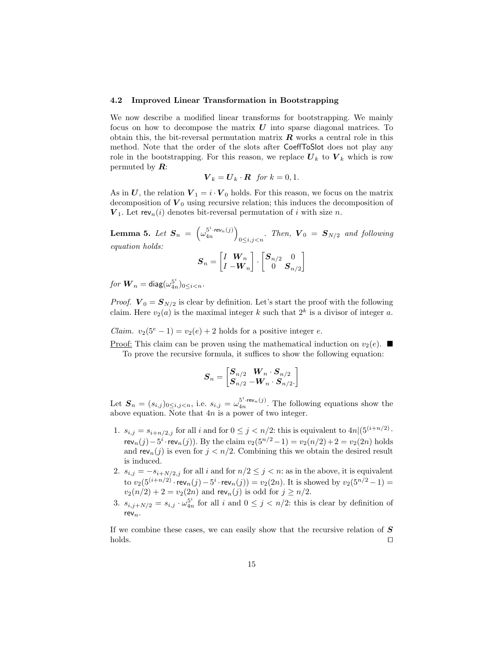#### 4.2 Improved Linear Transformation in Bootstrapping

We now describe a modified linear transforms for bootstrapping. We mainly focus on how to decompose the matrix  $\boldsymbol{U}$  into sparse diagonal matrices. To obtain this, the bit-reversal permutation matrix  $\bm{R}$  works a central role in this method. Note that the order of the slots after CoeffToSlot does not play any role in the bootstrapping. For this reason, we replace  $U_k$  to  $V_k$  which is row permuted by  $\mathbf{R}$ :

$$
\boldsymbol{V}_k = \boldsymbol{U}_k \cdot \boldsymbol{R} \ \text{for } k = 0, 1.
$$

As in U, the relation  $V_1 = i \cdot V_0$  holds. For this reason, we focus on the matrix decomposition of  $V_0$  using recursive relation; this induces the decomposition of  $V_1$ . Let rev<sub>n</sub>(i) denotes bit-reversal permutation of i with size n.

<span id="page-14-0"></span>Lemma 5. Let  $\boldsymbol{S}_n \;=\; \left( \omega_{4n}^{5^i \cdot \boldsymbol{rev}_n(j)} \right)$  $\sum_{0 \leq i,j < n}$ . Then,  $\boldsymbol{V}_0 = \boldsymbol{S}_{N/2}$  and following equation holds:

$$
\boldsymbol{S}_n = \begin{bmatrix} I & \boldsymbol{W}_n \\ I & -\boldsymbol{W}_n \end{bmatrix} \cdot \begin{bmatrix} \boldsymbol{S}_{n/2} & 0 \\ 0 & \boldsymbol{S}_{n/2} \end{bmatrix}
$$

 ${\it for}\ {\bm W}_n = {\sf diag}(\omega_{4n}^{5^i})_{0\leq i < n}.$ 

*Proof.*  $V_0 = S_{N/2}$  is clear by definition. Let's start the proof with the following claim. Here  $v_2(a)$  is the maximal integer k such that  $2^k$  is a divisor of integer a.

*Claim.*  $v_2(5^e - 1) = v_2(e) + 2$  holds for a positive integer e.

Proof: This claim can be proven using the mathematical induction on  $v_2(e)$ . To prove the recursive formula, it suffices to show the following equation:

$$
\boldsymbol{S}_n = \begin{bmatrix} \boldsymbol{S}_{n/2} & \boldsymbol{W}_{n} \cdot \boldsymbol{S}_{n/2} \\ \boldsymbol{S}_{n/2} & -\boldsymbol{W}_{n} \cdot \boldsymbol{S}_{n/2}. \end{bmatrix}
$$

Let  $\mathbf{S}_n = (s_{i,j})_{0 \leq i,j \leq n}$ , i.e.  $s_{i,j} = \omega_{4n}^{5^i \cdot \text{rev}_n(j)}$ . The following equations show the above equation. Note that 4n is a power of two integer.

- 1.  $s_{i,j} = s_{i+n/2,j}$  for all i and for  $0 \leq j \lt n/2$ : this is equivalent to  $4n|(5^{(i+n/2)} \cdot$ rev<sub>n</sub>(j)−5<sup>*i*</sup>·rev<sub>n</sub>(j)). By the claim  $v_2(5^{n/2}-1) = v_2(n/2)+2 = v_2(2n)$  holds and  $rev_n(j)$  is even for  $j < n/2$ . Combining this we obtain the desired result is induced.
- 2.  $s_{i,j} = -s_{i+N/2,j}$  for all i and for  $n/2 \leq j < n$ : as in the above, it is equivalent to  $v_2(5^{(i+n/2)} \cdot \text{rev}_n(j) - 5^i \cdot \text{rev}_n(j)) = v_2(2n)$ . It is showed by  $v_2(5^{n/2} - 1) =$  $v_2(n/2) + 2 = v_2(2n)$  and rev<sub>n</sub>(j) is odd for  $j \ge n/2$ .
- 3.  $s_{i,j+N/2} = s_{i,j} \cdot \omega_{4n}^{5^i}$  for all i and  $0 \leq j \leq n/2$ : this is clear by definition of  $rev_n$ .

If we combine these cases, we can easily show that the recursive relation of  $S$  $\Box$ holds.  $\Box$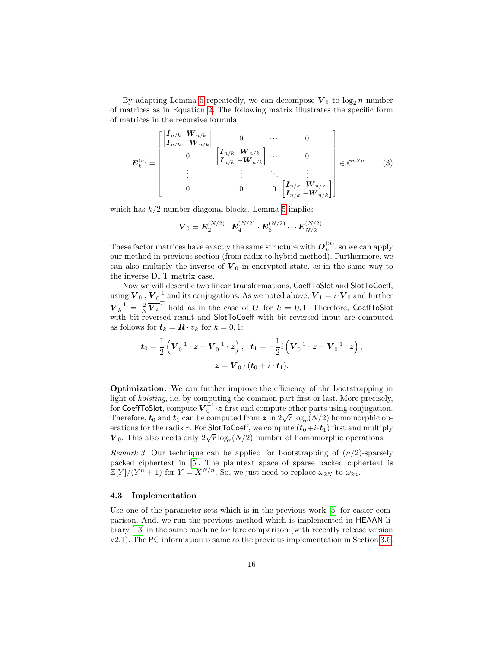By adapting Lemma [5](#page-14-0) repeatedly, we can decompose  $V_0$  to  $\log_2 n$  number of matrices as in Equation [2.](#page-7-2) The following matrix illustrates the specific form of matrices in the recursive formula:

$$
\boldsymbol{E}_{k}^{(n)} = \begin{bmatrix} \begin{bmatrix} \boldsymbol{I}_{n/k} & \boldsymbol{W}_{n/k} \\ \boldsymbol{I}_{n/k} & -\boldsymbol{W}_{n/k} \end{bmatrix} & 0 & \cdots & 0 \\ 0 & \begin{bmatrix} \boldsymbol{I}_{n/k} & \boldsymbol{W}_{n/k} \\ \boldsymbol{I}_{n/k} & -\boldsymbol{W}_{n/k} \end{bmatrix} & \cdots & 0 \\ \vdots & \vdots & \ddots & \vdots \\ 0 & 0 & 0 & \begin{bmatrix} \boldsymbol{I}_{n/k} & \boldsymbol{W}_{n/k} \\ \boldsymbol{I}_{n/k} & -\boldsymbol{W}_{n/k} \end{bmatrix} \end{bmatrix} \in \mathbb{C}^{n \times n}.
$$
 (3)

which has  $k/2$  number diagonal blocks. Lemma [5](#page-14-0) implies

$$
\boldsymbol{V}_0 = \boldsymbol{E}_2^{(N/2)} \cdot \boldsymbol{E}_4^{(N/2)} \cdot \boldsymbol{E}_8^{(N/2)} \cdots \boldsymbol{E}_{N/2}^{(N/2)}.
$$

These factor matrices have exactly the same structure with  $D_k^{(n)}$  $\binom{n}{k}$ , so we can apply our method in previous section (from radix to hybrid method). Furthermore, we can also multiply the inverse of  $V_0$  in encrypted state, as in the same way to the inverse DFT matrix case.

Now we will describe two linear transformations, CoeffToSlot and SlotToCoeff, using  $V_0$  ,  $V_0^{-1}$  and its conjugations. As we noted above,  $V_1 = i \cdot V_0$  and further  $\bm{V}_k^{-1} = \frac{2}{N} \overline{\bm{V}_k}^T$  hold as in the case of  $\bm{U}$  for  $k = 0, 1$ . Therefore, CoeffToSlot with bit-reversed result and SlotToCoeff with bit-reversed input are computed as follows for  $t_k = \mathbf{R} \cdot v_k$  for  $k = 0, 1$ :

$$
\begin{aligned} \bm{t}_0 = \frac{1}{2}\left(\bm{V}_0^{-1}\cdot \bm{z} + \overline{\bm{V}_0^{-1}\cdot \bm{z}}\right), \ \ \, \bm{t}_1 = -\frac{1}{2}i\left(\bm{V}_0^{-1}\cdot \bm{z} - \overline{\bm{V}_0^{-1}\cdot \bm{z}}\right), \\ \bm{z} = \bm{V}_0\cdot(\bm{t}_0 + i\cdot \bm{t}_1). \end{aligned}
$$

Optimization. We can further improve the efficiency of the bootstrapping in light of hoisting, i.e. by computing the common part first or last. More precisely, for CoeffToSlot, compute  $\boldsymbol{V}^{-1}_0 \cdot \boldsymbol{z}$  first and compute other parts using conjugation. Therefore,  $t_0$  and  $t_1$  can be computed from  $z$  in  $2\sqrt{r} \log_r(N/2)$  homomorphic operations for the radix r. For SlotToCoeff, we compute  $(t_0+i\cdot t_1)$  first and multiply erations for the radik r. For Siot Rocoen, we compute  $(t_0 + i \cdot t_1)$  inst and multip  $V_0$ . This also needs only  $2\sqrt{r} \log_r(N/2)$  number of homomorphic operations.

*Remark 3.* Our technique can be applied for bootstrapping of  $(n/2)$ -sparsely packed ciphertext in [\[5\]](#page-17-8). The plaintext space of sparse packed ciphertext is  $\mathbb{Z}[Y]/(Y^n+1)$  for  $Y = X^{N/n}$ . So, we just need to replace  $\omega_{2N}$  to  $\omega_{2n}$ .

#### 4.3 Implementation

Use one of the parameter sets which is in the previous work [\[5\]](#page-17-8) for easier comparison. And, we run the previous method which is implemented in HEAAN library [\[13\]](#page-17-3) in the same machine for fare comparison (with recently release version v2.1). The PC information is same as the previous implementation in Section [3.5.](#page-12-1)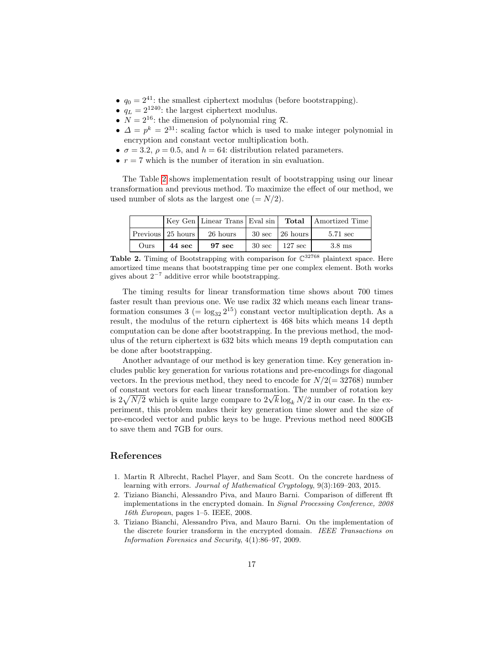- $q_0 = 2^{41}$ : the smallest ciphertext modulus (before bootstrapping).
- $q_L = 2^{1240}$ : the largest ciphertext modulus.
- $N = 2^{16}$ : the dimension of polynomial ring R.
- $\Delta = p^k = 2^{31}$ : scaling factor which is used to make integer polynomial in encryption and constant vector multiplication both.
- $\sigma = 3.2$ ,  $\rho = 0.5$ , and  $h = 64$ : distribution related parameters.
- $r = 7$  which is the number of iteration in sin evaluation.

The Table [2](#page-16-3) shows implementation result of bootstrapping using our linear transformation and previous method. To maximize the effect of our method, we used number of slots as the largest one  $(= N/2)$ .

<span id="page-16-3"></span>

|      |                     |                  |                             | Key Gen   Linear Trans   Eval sin   Total   Amortized Time |
|------|---------------------|------------------|-----------------------------|------------------------------------------------------------|
|      | Previous 25 hours l | 26 hours         | $30 \text{ sec}$   26 hours | 5.71 sec                                                   |
| Ours | 44 sec              | $97 \text{ sec}$ | $30 \text{ sec}$   127 sec  | $3.8 \text{ ms}$                                           |

**Table 2.** Timing of Bootstrapping with comparison for  $\mathbb{C}^{32768}$  plaintext space. Here amortized time means that bootstrapping time per one complex element. Both works gives about  $2^{-7}$  additive error while bootstrapping.

The timing results for linear transformation time shows about 700 times faster result than previous one. We use radix 32 which means each linear transformation consumes  $3 = \log_{32} 2^{15}$  constant vector multiplication depth. As a result, the modulus of the return ciphertext is 468 bits which means 14 depth computation can be done after bootstrapping. In the previous method, the modulus of the return ciphertext is 632 bits which means 19 depth computation can be done after bootstrapping.

Another advantage of our method is key generation time. Key generation includes public key generation for various rotations and pre-encodings for diagonal vectors. In the previous method, they need to encode for  $N/2(= 32768)$  number of constant vectors for each linear transformation. The number of rotation key of constant vectors for each linear transformation. The number of rotation key<br>is  $2\sqrt{N/2}$  which is quite large compare to  $2\sqrt{k} \log_k N/2$  in our case. In the experiment, this problem makes their key generation time slower and the size of pre-encoded vector and public keys to be huge. Previous method need 800GB to save them and 7GB for ours.

## References

- <span id="page-16-2"></span>1. Martin R Albrecht, Rachel Player, and Sam Scott. On the concrete hardness of learning with errors. Journal of Mathematical Cryptology, 9(3):169–203, 2015.
- <span id="page-16-0"></span>2. Tiziano Bianchi, Alessandro Piva, and Mauro Barni. Comparison of different fft implementations in the encrypted domain. In Signal Processing Conference, 2008 16th European, pages 1–5. IEEE, 2008.
- <span id="page-16-1"></span>3. Tiziano Bianchi, Alessandro Piva, and Mauro Barni. On the implementation of the discrete fourier transform in the encrypted domain. IEEE Transactions on Information Forensics and Security, 4(1):86–97, 2009.